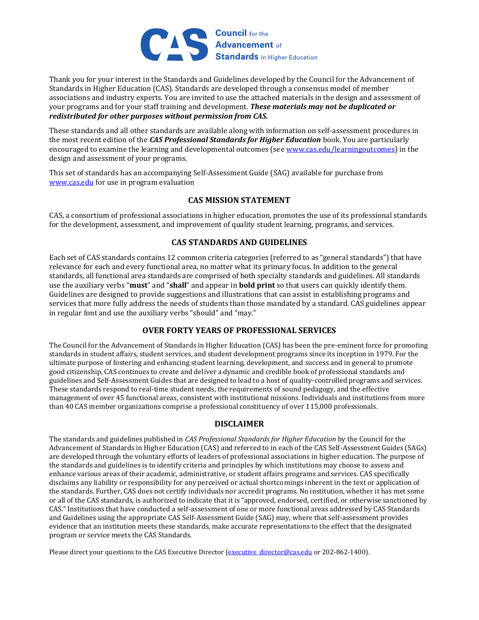

Thank you for your interest in the Standards and Guidelines developed by the Council for the Advancement of Standards in Higher Education (CAS). Standards are developed through a consensus model of member associations and industry experts. You are invited to use the attached materials in the design and assessment of your programs and for your staff training and development. *These materials may not be duplicated or redistributed for other purposes without permission from CAS.*

These standards and all other standards are available along with information on self-assessment procedures in the most recent edition of the *CAS Professional Standards for Higher Education* book. You are particularly encouraged to examine the learning and developmental outcomes (se[e www.cas.edu/learningoutcomes\)](http://www.cas.edu/learningoutcomes) in the design and assessment of your programs.

This set of standards has an accompanying Self-Assessment Guide (SAG) available for purchase from [www.cas.edu](http://www.cas.edu/) for use in program evaluation

## **CAS MISSION STATEMENT**

CAS, a consortium of professional associations in higher education, promotes the use of its professional standards for the development, assessment, and improvement of quality student learning, programs, and services.

# **CAS STANDARDS AND GUIDELINES**

Each set of CAS standards contains 12 common criteria categories (referred to as "general standards") that have relevance for each and every functional area, no matter what its primary focus. In addition to the general standards, all functional area standards are comprised of both specialty standards and guidelines. All standards use the auxiliary verbs "**must**" and "**shall**" and appear in **bold print** so that users can quickly identify them. Guidelines are designed to provide suggestions and illustrations that can assist in establishing programs and services that more fully address the needs of students than those mandated by a standard. CAS guidelines appear in regular font and use the auxiliary verbs "should" and "may."

## **OVER FORTY YEARS OF PROFESSIONAL SERVICES**

The Council for the Advancement of Standards in Higher Education (CAS) has been the pre-eminent force for promoting standards in student affairs, student services, and student development programs since its inception in 1979. For the ultimate purpose of fostering and enhancing student learning, development, and success and in general to promote good citizenship, CAS continues to create and deliver a dynamic and credible book of professional standards and guidelines and Self-Assessment Guides that are designed to lead to a host of quality-controlled programs and services. These standards respond to real-time student needs, the requirements of sound pedagogy, and the effective management of over 45 functional areas, consistent with institutional missions. Individuals and institutions from more than 40 CAS member organizations comprise a professional constituency of over 115,000 professionals.

## **DISCLAIMER**

The standards and guidelines published in *CAS Professional Standards for Higher Education* by the Council for the Advancement of Standards in Higher Education (CAS) and referred to in each of the CAS Self-Assessment Guides (SAGs) are developed through the voluntary efforts of leaders of professional associations in higher education. The purpose of the standards and guidelines is to identify criteria and principles by which institutions may choose to assess and enhance various areas of their academic, administrative, or student affairs programs and services. CAS specifically disclaims any liability or responsibility for any perceived or actual shortcomings inherent in the text or application of the standards. Further, CAS does not certify individuals nor accredit programs. No institution, whether it has met some or all of the CAS standards, is authorized to indicate that it is "approved, endorsed, certified, or otherwise sanctioned by CAS." Institutions that have conducted a self-assessment of one or more functional areas addressed by CAS Standards and Guidelines using the appropriate CAS Self-Assessment Guide (SAG) may, where that self-assessment provides evidence that an institution meets these standards, make accurate representations to the effect that the designated program or service meets the CAS Standards.

Please direct your questions to the CAS Executive Director (executive director@cas.edu or 202-862-1400).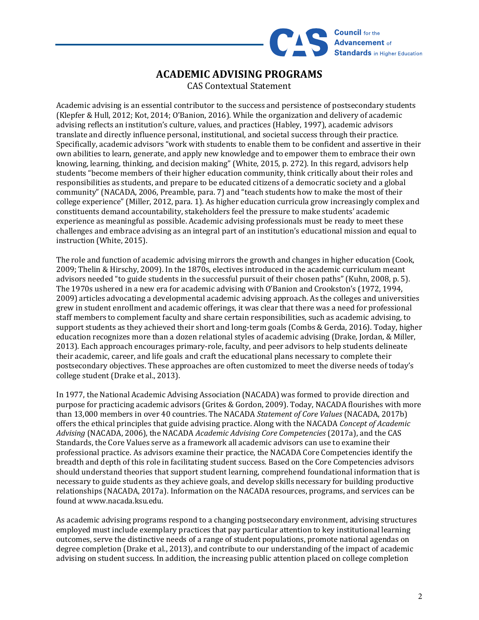

# **ACADEMIC ADVISING PROGRAMS**

CAS Contextual Statement

Academic advising is an essential contributor to the success and persistence of postsecondary students (Klepfer & Hull, 2012; Kot, 2014; O'Banion, 2016). While the organization and delivery of academic advising reflects an institution's culture, values, and practices (Habley, 1997), academic advisors translate and directly influence personal, institutional, and societal success through their practice. Specifically, academic advisors "work with students to enable them to be confident and assertive in their own abilities to learn, generate, and apply new knowledge and to empower them to embrace their own knowing, learning, thinking, and decision making" (White, 2015, p. 272). In this regard, advisors help students "become members of their higher education community, think critically about their roles and responsibilities as students, and prepare to be educated citizens of a democratic society and a global community" (NACADA, 2006, Preamble, para. 7) and "teach students how to make the most of their college experience" (Miller, 2012, para. 1). As higher education curricula grow increasingly complex and constituents demand accountability, stakeholders feel the pressure to make students' academic experience as meaningful as possible. Academic advising professionals must be ready to meet these challenges and embrace advising as an integral part of an institution's educational mission and equal to instruction (White, 2015).

The role and function of academic advising mirrors the growth and changes in higher education (Cook, 2009; Thelin & Hirschy, 2009). In the 1870s, electives introduced in the academic curriculum meant advisors needed "to guide students in the successful pursuit of their chosen paths" (Kuhn, 2008, p. 5). The 1970s ushered in a new era for academic advising with O'Banion and Crookston's (1972, 1994, 2009) articles advocating a developmental academic advising approach. As the colleges and universities grew in student enrollment and academic offerings, it was clear that there was a need for professional staff members to complement faculty and share certain responsibilities, such as academic advising, to support students as they achieved their short and long-term goals (Combs & Gerda, 2016). Today, higher education recognizes more than a dozen relational styles of academic advising (Drake, Jordan, & Miller, 2013). Each approach encourages primary-role, faculty, and peer advisors to help students delineate their academic, career, and life goals and craft the educational plans necessary to complete their postsecondary objectives. These approaches are often customized to meet the diverse needs of today's college student (Drake et al., 2013).

In 1977, the National Academic Advising Association (NACADA) was formed to provide direction and purpose for practicing academic advisors (Grites & Gordon, 2009). Today, NACADA flourishes with more than 13,000 members in over 40 countries. The NACADA *Statement of Core Values* (NACADA, 2017b) offers the ethical principles that guide advising practice. Along with the NACADA *Concept of Academic Advising* (NACADA, 2006), the NACADA *Academic Advising Core Competencies* (2017a), and the CAS Standards, the Core Values serve as a framework all academic advisors can use to examine their professional practice. As advisors examine their practice, the NACADA Core Competencies identify the breadth and depth of this role in facilitating student success. Based on the Core Competencies advisors should understand theories that support student learning, comprehend foundational information that is necessary to guide students as they achieve goals, and develop skills necessary for building productive relationships (NACADA, 2017a). Information on the NACADA resources, programs, and services can be found at www.nacada.ksu.edu.

As academic advising programs respond to a changing postsecondary environment, advising structures employed must include exemplary practices that pay particular attention to key institutional learning outcomes, serve the distinctive needs of a range of student populations, promote national agendas on degree completion (Drake et al., 2013), and contribute to our understanding of the impact of academic advising on student success. In addition, the increasing public attention placed on college completion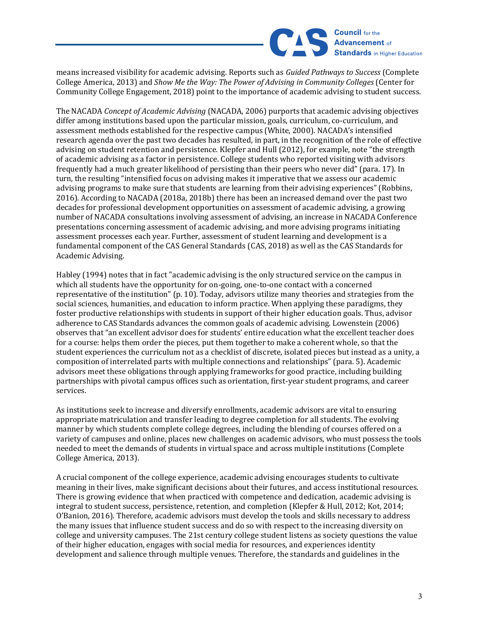

means increased visibility for academic advising. Reports such as *Guided Pathways to Success* (Complete College America, 2013) and *Show Me the Way: The Power of Advising in Community Colleges* (Center for Community College Engagement, 2018) point to the importance of academic advising to student success.

The NACADA *Concept of Academic Advising* (NACADA, 2006) purports that academic advising objectives differ among institutions based upon the particular mission, goals, curriculum, co-curriculum, and assessment methods established for the respective campus (White, 2000). NACADA's intensified research agenda over the past two decades has resulted, in part, in the recognition of the role of effective advising on student retention and persistence. Klepfer and Hull (2012), for example, note "the strength of academic advising as a factor in persistence. College students who reported visiting with advisors frequently had a much greater likelihood of persisting than their peers who never did" (para. 17). In turn, the resulting "intensified focus on advising makes it imperative that we assess our academic advising programs to make sure that students are learning from their advising experiences" (Robbins, 2016). According to NACADA (2018a, 2018b) there has been an increased demand over the past two decades for professional development opportunities on assessment of academic advising, a growing number of NACADA consultations involving assessment of advising, an increase in NACADA Conference presentations concerning assessment of academic advising, and more advising programs initiating assessment processes each year. Further, assessment of student learning and development is a fundamental component of the CAS General Standards (CAS, 2018) as well as the CAS Standards for Academic Advising.

Habley (1994) notes that in fact "academic advising is the only structured service on the campus in which all students have the opportunity for on-going, one-to-one contact with a concerned representative of the institution" (p. 10). Today, advisors utilize many theories and strategies from the social sciences, humanities, and education to inform practice. When applying these paradigms, they foster productive relationships with students in support of their higher education goals. Thus, advisor adherence to CAS Standards advances the common goals of academic advising. Lowenstein (2006) observes that "an excellent advisor does for students' entire education what the excellent teacher does for a course: helps them order the pieces, put them together to make a coherent whole, so that the student experiences the curriculum not as a checklist of discrete, isolated pieces but instead as a unity, a composition of interrelated parts with multiple connections and relationships" (para. 5). Academic advisors meet these obligations through applying frameworks for good practice, including building partnerships with pivotal campus offices such as orientation, first-year student programs, and career services.

As institutions seek to increase and diversify enrollments, academic advisors are vital to ensuring appropriate matriculation and transfer leading to degree completion for all students. The evolving manner by which students complete college degrees, including the blending of courses offered on a variety of campuses and online, places new challenges on academic advisors, who must possess the tools needed to meet the demands of students in virtual space and across multiple institutions (Complete College America, 2013).

A crucial component of the college experience, academic advising encourages students to cultivate meaning in their lives, make significant decisions about their futures, and access institutional resources. There is growing evidence that when practiced with competence and dedication, academic advising is integral to student success, persistence, retention, and completion (Klepfer & Hull, 2012; Kot, 2014; O'Banion, 2016). Therefore, academic advisors must develop the tools and skills necessary to address the many issues that influence student success and do so with respect to the increasing diversity on college and university campuses. The 21st century college student listens as society questions the value of their higher education, engages with social media for resources, and experiences identity development and salience through multiple venues. Therefore, the standards and guidelines in the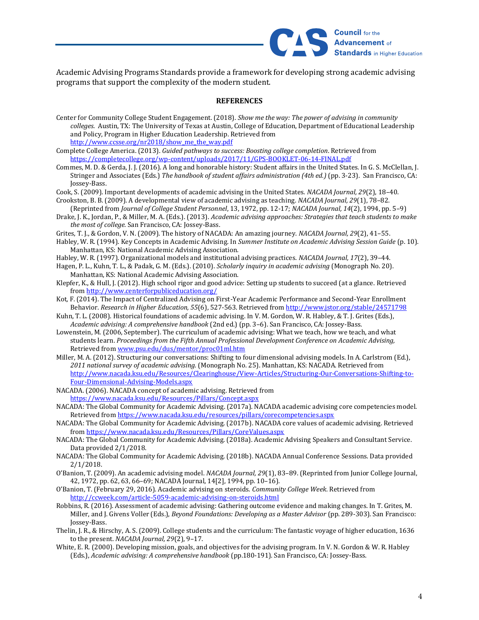

Academic Advising Programs Standards provide a framework for developing strong academic advising programs that support the complexity of the modern student.

## **REFERENCES**

- Center for Community College Student Engagement. (2018). *Show me the way: The power of advising in community colleges*. Austin, TX: The University of Texas at Austin, College of Education, Department of Educational Leadership and Policy, Program in Higher Education Leadership. Retrieved from [http://www.ccsse.org/nr2018/show\\_me\\_the\\_way.pdf](http://www.ccsse.org/nr2018/show_me_the_way.pdf)
- Complete College America. (2013). *Guided pathways to success: Boosting college completion*. Retrieved from <https://completecollege.org/wp-content/uploads/2017/11/GPS-BOOKLET-06-14-FINAL.pdf>
- Commes, M. D. & Gerda, J. J. (2016). A long and honorable history: Student affairs in the United States. In G. S. McClellan, J. Stringer and Associates (Eds.) *The handbook of student affairs administration (4th ed.)* (pp. 3-23). San Francisco, CA: Jossey-Bass.
- Cook, S. (2009). Important developments of academic advising in the United States. *NACADA Journal, 29*(2), 18–40.
- Crookston, B. B. (2009). A developmental view of academic advising as teaching. *NACADA Journal, 29*(1), 78–82.
- (Reprinted from *Journal of College Student Personnel*, 13, 1972, pp. 12-17; *NACADA Journal, 14*(2), 1994, pp. 5–9) Drake, J. K., Jordan, P., & Miller, M. A. (Eds.). (2013). *Academic advising approaches: Strategies that teach students to make the most of college.* San Francisco, CA: Jossey-Bass.
- Grites, T. J., & Gordon, V. N. (2009). The history of NACADA: An amazing journey. *NACADA Journal, 29*(2), 41–55.
- Habley, W. R. (1994). Key Concepts in Academic Advising. In *Summer Institute on Academic Advising Session Guide* (p. 10). Manhattan, KS: National Academic Advising Association.
- Habley, W. R. (1997). Organizational models and institutional advising practices. *NACADA Journal, 17*(2), 39–44.
- Hagen, P. L., Kuhn, T. L., & Padak, G. M. (Eds.). (2010). *Scholarly inquiry in academic advising* (Monograph No. 20). Manhattan, KS: National Academic Advising Association.
- Klepfer, K., & Hull, J. (2012). High school rigor and good advice: Setting up students to succeed (at a glance. Retrieved from <http://www.centerforpubliceducation.org/>
- Kot, F. (2014). The Impact of Centralized Advising on First-Year Academic Performance and Second-Year Enrollment Behavior. *Research in Higher Education, 55*(6), 527-563. Retrieved fro[m http://www.jstor.org/stable/24571798](http://www.jstor.org/stable/24571798)
- Kuhn, T. L. (2008). Historical foundations of academic advising. In V. M. Gordon, W. R. Habley, & T. J. Grites (Eds.), *Academic advising: A comprehensive handbook* (2nd ed.) (pp. 3–6). San Francisco, CA: Jossey-Bass.
- Lowenstein, M. (2006, September). The curriculum of academic advising: What we teach, how we teach, and what students learn. *Proceedings from the Fifth Annual Professional Development Conference on Academic Advising,* Retrieved fro[m www.psu.edu/dus/mentor/proc01ml.htm](http://www.psu.edu/dus/mentor/proc01ml.htm)
- Miller, M. A. (2012). Structuring our conversations: Shifting to four dimensional advising models. In A. Carlstrom (Ed.), *2011 national survey of academic advising.* (Monograph No. 25). Manhattan, KS: NACADA. Retrieved from [http://www.nacada.ksu.edu/Resources/Clearinghouse/View-Articles/Structuring-Our-Conversations-Shifting-to-](http://www.nacada.ksu.edu/Resources/Clearinghouse/View-Articles/Structuring-Our-Conversations-Shifting-to-Four-Dimensional-Advising-Models.aspx)[Four-Dimensional-Advising-Models.aspx](http://www.nacada.ksu.edu/Resources/Clearinghouse/View-Articles/Structuring-Our-Conversations-Shifting-to-Four-Dimensional-Advising-Models.aspx)
- NACADA. (2006). NACADA concept of academic advising. Retrieved from <https://www.nacada.ksu.edu/Resources/Pillars/Concept.aspx>
- NACADA: The Global Community for Academic Advising. (2017a). NACADA academic advising core competencies model. Retrieved fro[m https://www.nacada.ksu.edu/resources/pillars/corecompetencies.aspx](https://www.nacada.ksu.edu/resources/pillars/corecompetencies.aspx)
- NACADA: The Global Community for Academic Advising. (2017b). NACADA core values of academic advising. Retrieved fro[m https://www.nacada.ksu.edu/Resources/Pillars/CoreValues.aspx](https://www.nacada.ksu.edu/Resources/Pillars/CoreValues.aspx)
- NACADA: The Global Community for Academic Advising. (2018a). Academic Advising Speakers and Consultant Service. Data provided 2/1/2018.
- NACADA: The Global Community for Academic Advising. (2018b). NACADA Annual Conference Sessions. Data provided 2/1/2018.
- O'Banion, T. (2009). An academic advising model. *NACADA Journal, 29*(1), 83–89. (Reprinted from Junior College Journal, 42, 1972, pp. 62, 63, 66–69; NACADA Journal, 14[2], 1994, pp. 10–16).
- O'Banion, T. (February 29, 2016). Academic advising on steroids. *Community College Week*. Retrieved from <http://ccweek.com/article-5059-academic-advising-on-steroids.html>
- Robbins, R. (2016). Assessment of academic advising: Gathering outcome evidence and making changes. In T. Grites, M. Miller, and J. Givens Voller (Eds.), *Beyond Foundations: Developing as a Master Advisor* (pp. 289-303). San Francisco: Jossey-Bass.
- Thelin, J. R., & Hirschy, A. S. (2009). College students and the curriculum: The fantastic voyage of higher education, 1636 to the present. *NACADA Journal, 29*(2), 9–17.
- White, E. R. (2000). Developing mission, goals, and objectives for the advising program. In V. N. Gordon & W. R. Habley (Eds.), *Academic advising: A comprehensive handbook* (pp.180-191). San Francisco, CA: Jossey-Bass.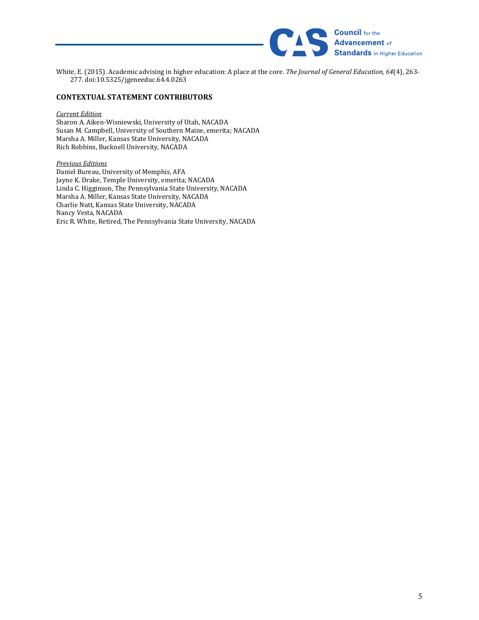

White, E. (2015). Academic advising in higher education: A place at the core. *The Journal of General Education, 64*(4), 263- 277. doi:10.5325/jgeneeduc.64.4.0263

#### **CONTEXTUAL STATEMENT CONTRIBUTORS**

#### *Current Edition*

Sharon A. Aiken-Wisniewski, University of Utah, NACADA Susan M. Campbell, University of Southern Maine, emerita; NACADA Marsha A. Miller, Kansas State University, NACADA Rich Robbins, Bucknell University, NACADA

*Previous Editions* Daniel Bureau, University of Memphis, AFA Jayne K. Drake, Temple University, emerita; NACADA Linda C. Higginson, The Pennsylvania State University, NACADA Marsha A. Miller, Kansas State University, NACADA Charlie Nutt, Kansas State University, NACADA Nancy Vesta, NACADA Eric R. White, Retired, The Pennsylvania State University, NACADA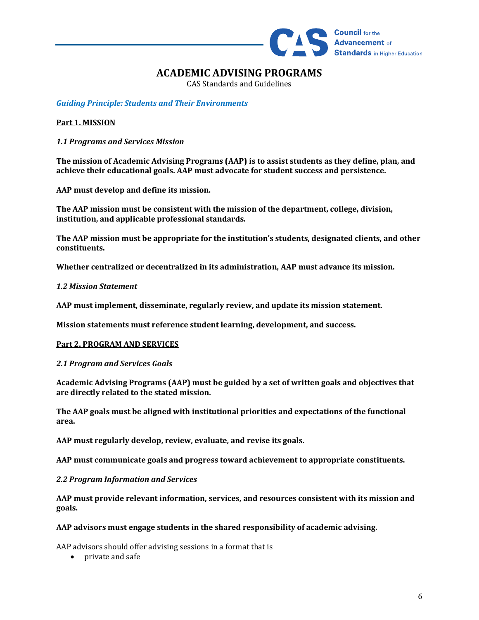

# **ACADEMIC ADVISING PROGRAMS**

CAS Standards and Guidelines

## *Guiding Principle: Students and Their Environments*

## **Part 1. MISSION**

## *1.1 Programs and Services Mission*

**The mission of Academic Advising Programs (AAP) is to assist students as they define, plan, and achieve their educational goals. AAP must advocate for student success and persistence.**

**AAP must develop and define its mission.**

**The AAP mission must be consistent with the mission of the department, college, division, institution, and applicable professional standards.**

**The AAP mission must be appropriate for the institution's students, designated clients, and other constituents.**

**Whether centralized or decentralized in its administration, AAP must advance its mission.**

#### *1.2 Mission Statement*

**AAP must implement, disseminate, regularly review, and update its mission statement.**

**Mission statements must reference student learning, development, and success.**

#### **Part 2. PROGRAM AND SERVICES**

#### *2.1 Program and Services Goals*

**Academic Advising Programs (AAP) must be guided by a set of written goals and objectives that are directly related to the stated mission.**

**The AAP goals must be aligned with institutional priorities and expectations of the functional area.**

**AAP must regularly develop, review, evaluate, and revise its goals.**

**AAP must communicate goals and progress toward achievement to appropriate constituents.**

#### *2.2 Program Information and Services*

**AAP must provide relevant information, services, and resources consistent with its mission and goals.**

#### **AAP advisors must engage students in the shared responsibility of academic advising.**

AAP advisors should offer advising sessions in a format that is

• private and safe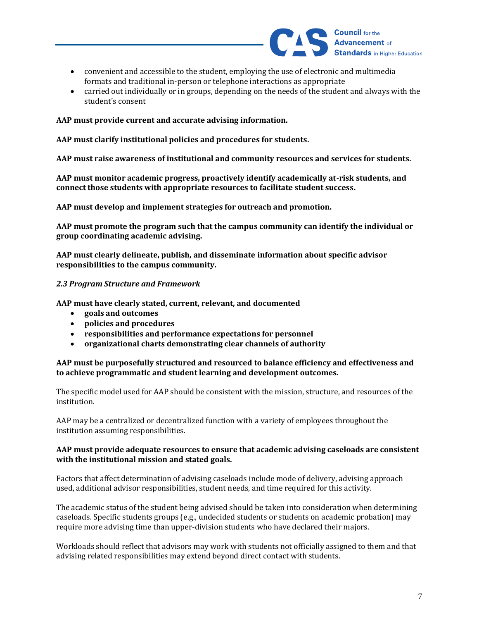

- convenient and accessible to the student, employing the use of electronic and multimedia formats and traditional in-person or telephone interactions as appropriate
- carried out individually or in groups, depending on the needs of the student and always with the student's consent

## **AAP must provide current and accurate advising information.**

**AAP must clarify institutional policies and procedures for students.**

**AAP must raise awareness of institutional and community resources and services for students.**

**AAP must monitor academic progress, proactively identify academically at-risk students, and connect those students with appropriate resources to facilitate student success.**

**AAP must develop and implement strategies for outreach and promotion.**

**AAP must promote the program such that the campus community can identify the individual or group coordinating academic advising.**

**AAP must clearly delineate, publish, and disseminate information about specific advisor responsibilities to the campus community.**

## *2.3 Program Structure and Framework*

**AAP must have clearly stated, current, relevant, and documented**

- **goals and outcomes**
- **policies and procedures**
- **responsibilities and performance expectations for personnel**
- **organizational charts demonstrating clear channels of authority**

## **AAP must be purposefully structured and resourced to balance efficiency and effectiveness and to achieve programmatic and student learning and development outcomes.**

The specific model used for AAP should be consistent with the mission, structure, and resources of the institution.

AAP may be a centralized or decentralized function with a variety of employees throughout the institution assuming responsibilities.

## **AAP must provide adequate resources to ensure that academic advising caseloads are consistent with the institutional mission and stated goals.**

Factors that affect determination of advising caseloads include mode of delivery, advising approach used, additional advisor responsibilities, student needs, and time required for this activity.

The academic status of the student being advised should be taken into consideration when determining caseloads. Specific students groups (e.g., undecided students or students on academic probation) may require more advising time than upper-division students who have declared their majors.

Workloads should reflect that advisors may work with students not officially assigned to them and that advising related responsibilities may extend beyond direct contact with students.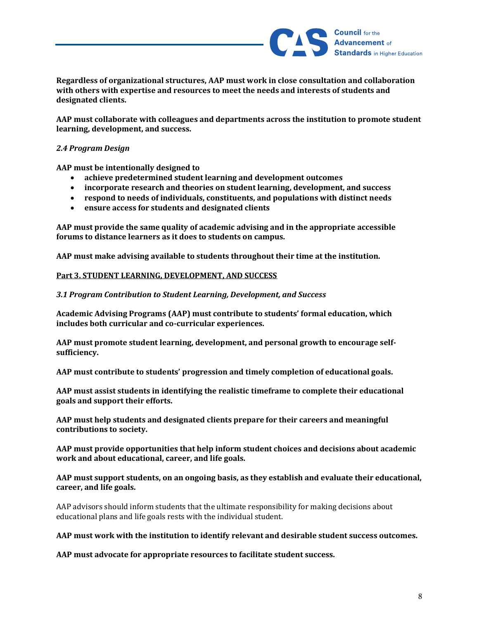

**Regardless of organizational structures, AAP must work in close consultation and collaboration with others with expertise and resources to meet the needs and interests of students and designated clients.**

**AAP must collaborate with colleagues and departments across the institution to promote student learning, development, and success.**

## *2.4 Program Design*

**AAP must be intentionally designed to**

- **achieve predetermined student learning and development outcomes**
- **incorporate research and theories on student learning, development, and success**
- **respond to needs of individuals, constituents, and populations with distinct needs**
- **ensure access for students and designated clients**

**AAP must provide the same quality of academic advising and in the appropriate accessible forums to distance learners as it does to students on campus.**

**AAP must make advising available to students throughout their time at the institution.**

## **Part 3. STUDENT LEARNING, DEVELOPMENT, AND SUCCESS**

*3.1 Program Contribution to Student Learning, Development, and Success*

**Academic Advising Programs (AAP) must contribute to students' formal education, which includes both curricular and co-curricular experiences.**

**AAP must promote student learning, development, and personal growth to encourage selfsufficiency.**

**AAP must contribute to students' progression and timely completion of educational goals.**

**AAP must assist students in identifying the realistic timeframe to complete their educational goals and support their efforts.**

**AAP must help students and designated clients prepare for their careers and meaningful contributions to society.**

**AAP must provide opportunities that help inform student choices and decisions about academic work and about educational, career, and life goals.** 

**AAP must support students, on an ongoing basis, as they establish and evaluate their educational, career, and life goals.**

AAP advisors should inform students that the ultimate responsibility for making decisions about educational plans and life goals rests with the individual student.

#### **AAP must work with the institution to identify relevant and desirable student success outcomes.**

**AAP must advocate for appropriate resources to facilitate student success.**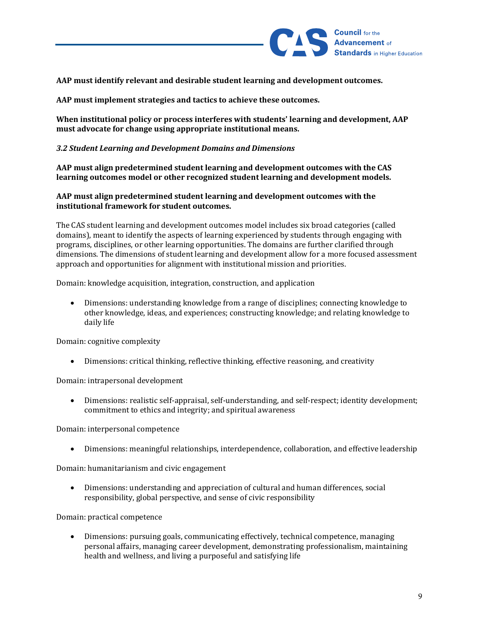

**AAP must identify relevant and desirable student learning and development outcomes.**

**AAP must implement strategies and tactics to achieve these outcomes.**

**When institutional policy or process interferes with students' learning and development, AAP must advocate for change using appropriate institutional means.**

## *3.2 Student Learning and Development Domains and Dimensions*

**AAP must align predetermined student learning and development outcomes with the CAS learning outcomes model or other recognized student learning and development models.**

## **AAP must align predetermined student learning and development outcomes with the institutional framework for student outcomes.**

The CAS student learning and development outcomes model includes six broad categories (called domains), meant to identify the aspects of learning experienced by students through engaging with programs, disciplines, or other learning opportunities. The domains are further clarified through dimensions. The dimensions of student learning and development allow for a more focused assessment approach and opportunities for alignment with institutional mission and priorities.

Domain: knowledge acquisition, integration, construction, and application

• Dimensions: understanding knowledge from a range of disciplines; connecting knowledge to other knowledge, ideas, and experiences; constructing knowledge; and relating knowledge to daily life

Domain: cognitive complexity

• Dimensions: critical thinking, reflective thinking, effective reasoning, and creativity

Domain: intrapersonal development

• Dimensions: realistic self-appraisal, self-understanding, and self-respect; identity development; commitment to ethics and integrity; and spiritual awareness

Domain: interpersonal competence

• Dimensions: meaningful relationships, interdependence, collaboration, and effective leadership

Domain: humanitarianism and civic engagement

• Dimensions: understanding and appreciation of cultural and human differences, social responsibility, global perspective, and sense of civic responsibility

Domain: practical competence

• Dimensions: pursuing goals, communicating effectively, technical competence, managing personal affairs, managing career development, demonstrating professionalism, maintaining health and wellness, and living a purposeful and satisfying life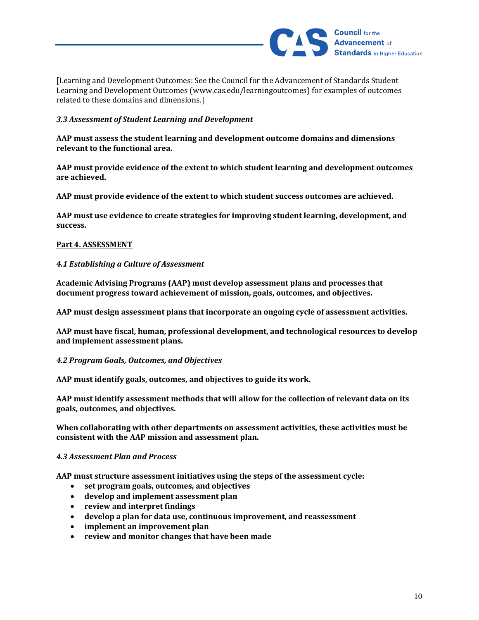

[Learning and Development Outcomes: See the Council for the Advancement of Standards Student Learning and Development Outcomes [\(www.cas.edu/learningoutcomes\)](http://www.cas.edu/learningoutcomes) for examples of outcomes related to these domains and dimensions.]

## *3.3 Assessment of Student Learning and Development*

**AAP must assess the student learning and development outcome domains and dimensions relevant to the functional area.**

**AAP must provide evidence of the extent to which student learning and development outcomes are achieved.**

**AAP must provide evidence of the extent to which student success outcomes are achieved.**

**AAP must use evidence to create strategies for improving student learning, development, and success.**

#### **Part 4. ASSESSMENT**

## *4.1 Establishing a Culture of Assessment*

**Academic Advising Programs (AAP) must develop assessment plans and processes that document progress toward achievement of mission, goals, outcomes, and objectives.**

**AAP must design assessment plans that incorporate an ongoing cycle of assessment activities.**

**AAP must have fiscal, human, professional development, and technological resources to develop and implement assessment plans.**

#### *4.2 Program Goals, Outcomes, and Objectives*

**AAP must identify goals, outcomes, and objectives to guide its work.**

**AAP must identify assessment methods that will allow for the collection of relevant data on its goals, outcomes, and objectives.**

**When collaborating with other departments on assessment activities, these activities must be consistent with the AAP mission and assessment plan.**

#### *4.3 Assessment Plan and Process*

**AAP must structure assessment initiatives using the steps of the assessment cycle:**

- **set program goals, outcomes, and objectives**
- **develop and implement assessment plan**
- **review and interpret findings**
- **develop a plan for data use, continuous improvement, and reassessment**
- **implement an improvement plan**
- **review and monitor changes that have been made**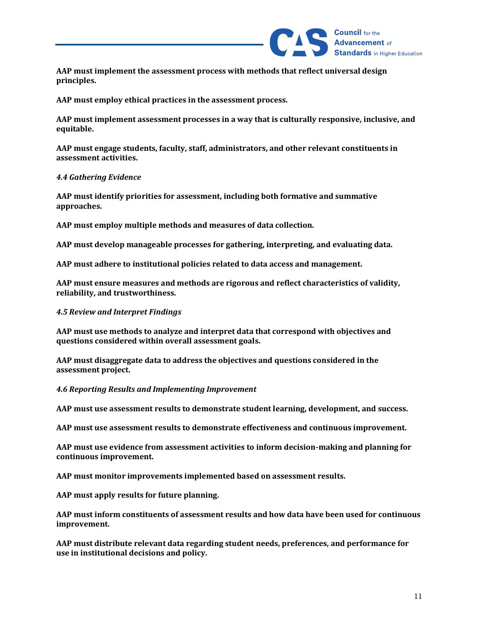

**AAP must implement the assessment process with methods that reflect universal design principles.**

**AAP must employ ethical practices in the assessment process.**

**AAP must implement assessment processes in a way that is culturally responsive, inclusive, and equitable.**

**AAP must engage students, faculty, staff, administrators, and other relevant constituents in assessment activities.**

#### *4.4 Gathering Evidence*

**AAP must identify priorities for assessment, including both formative and summative approaches.**

**AAP must employ multiple methods and measures of data collection.**

**AAP must develop manageable processes for gathering, interpreting, and evaluating data.**

**AAP must adhere to institutional policies related to data access and management.**

**AAP must ensure measures and methods are rigorous and reflect characteristics of validity, reliability, and trustworthiness.**

## *4.5 Review and Interpret Findings*

**AAP must use methods to analyze and interpret data that correspond with objectives and questions considered within overall assessment goals.**

**AAP must disaggregate data to address the objectives and questions considered in the assessment project.**

#### *4.6 Reporting Results and Implementing Improvement*

**AAP must use assessment results to demonstrate student learning, development, and success.**

**AAP must use assessment results to demonstrate effectiveness and continuous improvement.**

**AAP must use evidence from assessment activities to inform decision-making and planning for continuous improvement.**

**AAP must monitor improvements implemented based on assessment results.**

**AAP must apply results for future planning.**

**AAP must inform constituents of assessment results and how data have been used for continuous improvement.**

**AAP must distribute relevant data regarding student needs, preferences, and performance for use in institutional decisions and policy.**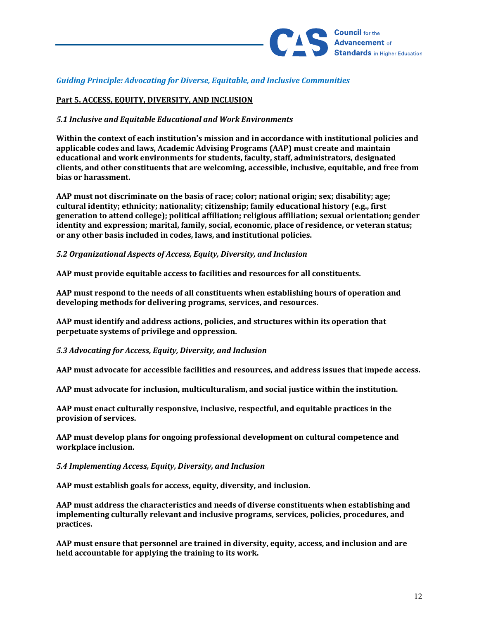

## *Guiding Principle: Advocating for Diverse, Equitable, and Inclusive Communities*

## **Part 5. ACCESS, EQUITY, DIVERSITY, AND INCLUSION**

## *5.1 Inclusive and Equitable Educational and Work Environments*

**Within the context of each institution's mission and in accordance with institutional policies and applicable codes and laws, Academic Advising Programs (AAP) must create and maintain educational and work environments for students, faculty, staff, administrators, designated clients, and other constituents that are welcoming, accessible, inclusive, equitable, and free from bias or harassment.**

**AAP must not discriminate on the basis of race; color; national origin; sex; disability; age; cultural identity; ethnicity; nationality; citizenship; family educational history (e.g., first generation to attend college); political affiliation; religious affiliation; sexual orientation; gender identity and expression; marital, family, social, economic, place of residence, or veteran status; or any other basis included in codes, laws, and institutional policies.**

## *5.2 Organizational Aspects of Access, Equity, Diversity, and Inclusion*

**AAP must provide equitable access to facilities and resources for all constituents.**

**AAP must respond to the needs of all constituents when establishing hours of operation and developing methods for delivering programs, services, and resources.**

**AAP must identify and address actions, policies, and structures within its operation that perpetuate systems of privilege and oppression.**

#### *5.3 Advocating for Access, Equity, Diversity, and Inclusion*

**AAP must advocate for accessible facilities and resources, and address issues that impede access.**

**AAP must advocate for inclusion, multiculturalism, and social justice within the institution.**

**AAP must enact culturally responsive, inclusive, respectful, and equitable practices in the provision of services.**

**AAP must develop plans for ongoing professional development on cultural competence and workplace inclusion.**

#### *5.4 Implementing Access, Equity, Diversity, and Inclusion*

**AAP must establish goals for access, equity, diversity, and inclusion.**

**AAP must address the characteristics and needs of diverse constituents when establishing and implementing culturally relevant and inclusive programs, services, policies, procedures, and practices.**

**AAP must ensure that personnel are trained in diversity, equity, access, and inclusion and are held accountable for applying the training to its work.**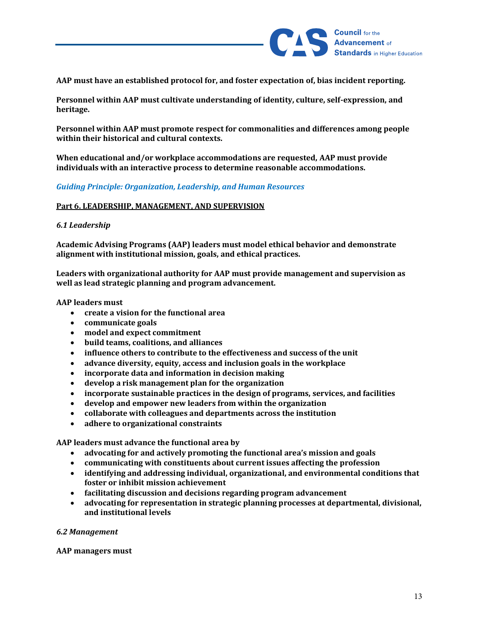

**AAP must have an established protocol for, and foster expectation of, bias incident reporting.**

**Personnel within AAP must cultivate understanding of identity, culture, self-expression, and heritage.**

**Personnel within AAP must promote respect for commonalities and differences among people within their historical and cultural contexts.**

**When educational and/or workplace accommodations are requested, AAP must provide individuals with an interactive process to determine reasonable accommodations.**

## *Guiding Principle: Organization, Leadership, and Human Resources*

## **Part 6. LEADERSHIP, MANAGEMENT, AND SUPERVISION**

#### *6.1 Leadership*

**Academic Advising Programs (AAP) leaders must model ethical behavior and demonstrate alignment with institutional mission, goals, and ethical practices.**

**Leaders with organizational authority for AAP must provide management and supervision as well as lead strategic planning and program advancement.**

#### **AAP leaders must**

- **create a vision for the functional area**
- **communicate goals**
- **model and expect commitment**
- **build teams, coalitions, and alliances**
- **influence others to contribute to the effectiveness and success of the unit**
- **advance diversity, equity, access and inclusion goals in the workplace**
- **incorporate data and information in decision making**
- **develop a risk management plan for the organization**
- **incorporate sustainable practices in the design of programs, services, and facilities**
- **develop and empower new leaders from within the organization**
- **collaborate with colleagues and departments across the institution**
- **adhere to organizational constraints**

**AAP leaders must advance the functional area by**

- **advocating for and actively promoting the functional area's mission and goals**
- **communicating with constituents about current issues affecting the profession**
- **identifying and addressing individual, organizational, and environmental conditions that foster or inhibit mission achievement**
- **facilitating discussion and decisions regarding program advancement**
- **advocating for representation in strategic planning processes at departmental, divisional, and institutional levels**

#### *6.2 Management*

#### **AAP managers must**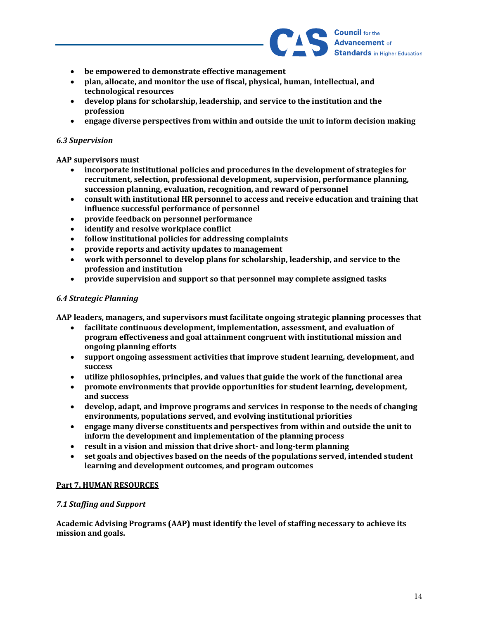

- **be empowered to demonstrate effective management**
- **plan, allocate, and monitor the use of fiscal, physical, human, intellectual, and technological resources**
- **develop plans for scholarship, leadership, and service to the institution and the profession**
- **engage diverse perspectives from within and outside the unit to inform decision making**

## *6.3 Supervision*

**AAP supervisors must**

- **incorporate institutional policies and procedures in the development of strategies for recruitment, selection, professional development, supervision, performance planning, succession planning, evaluation, recognition, and reward of personnel**
- **consult with institutional HR personnel to access and receive education and training that influence successful performance of personnel**
- **provide feedback on personnel performance**
- **identify and resolve workplace conflict**
- **follow institutional policies for addressing complaints**
- **provide reports and activity updates to management**
- **work with personnel to develop plans for scholarship, leadership, and service to the profession and institution**
- **provide supervision and support so that personnel may complete assigned tasks**

## *6.4 Strategic Planning*

**AAP leaders, managers, and supervisors must facilitate ongoing strategic planning processes that**

- **facilitate continuous development, implementation, assessment, and evaluation of program effectiveness and goal attainment congruent with institutional mission and ongoing planning efforts**
- **support ongoing assessment activities that improve student learning, development, and success**
- **utilize philosophies, principles, and values that guide the work of the functional area**
- **promote environments that provide opportunities for student learning, development, and success**
- **develop, adapt, and improve programs and services in response to the needs of changing environments, populations served, and evolving institutional priorities**
- **engage many diverse constituents and perspectives from within and outside the unit to inform the development and implementation of the planning process**
- **result in a vision and mission that drive short- and long-term planning**
- **set goals and objectives based on the needs of the populations served, intended student learning and development outcomes, and program outcomes**

## **Part 7. HUMAN RESOURCES**

## *7.1 Staffing and Support*

**Academic Advising Programs (AAP) must identify the level of staffing necessary to achieve its mission and goals.**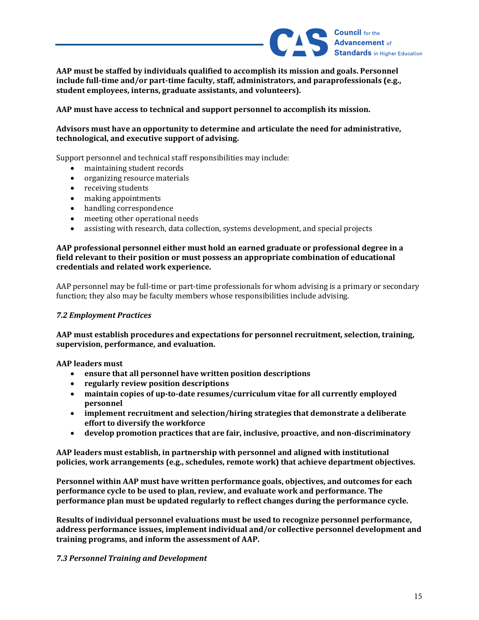

**AAP must be staffed by individuals qualified to accomplish its mission and goals. Personnel include full-time and/or part-time faculty, staff, administrators, and paraprofessionals (e.g., student employees, interns, graduate assistants, and volunteers).**

**AAP must have access to technical and support personnel to accomplish its mission.**

# **Advisors must have an opportunity to determine and articulate the need for administrative, technological, and executive support of advising.**

Support personnel and technical staff responsibilities may include:

- maintaining student records
- organizing resource materials
- receiving students
- making appointments
- handling correspondence
- meeting other operational needs
- assisting with research, data collection, systems development, and special projects

## **AAP professional personnel either must hold an earned graduate or professional degree in a field relevant to their position or must possess an appropriate combination of educational credentials and related work experience.**

AAP personnel may be full-time or part-time professionals for whom advising is a primary or secondary function; they also may be faculty members whose responsibilities include advising.

# *7.2 Employment Practices*

**AAP must establish procedures and expectations for personnel recruitment, selection, training, supervision, performance, and evaluation.**

**AAP leaders must**

- **ensure that all personnel have written position descriptions**
- **regularly review position descriptions**
- **maintain copies of up-to-date resumes/curriculum vitae for all currently employed personnel**
- **implement recruitment and selection/hiring strategies that demonstrate a deliberate effort to diversify the workforce**
- **develop promotion practices that are fair, inclusive, proactive, and non-discriminatory**

**AAP leaders must establish, in partnership with personnel and aligned with institutional policies, work arrangements (e.g., schedules, remote work) that achieve department objectives.**

**Personnel within AAP must have written performance goals, objectives, and outcomes for each performance cycle to be used to plan, review, and evaluate work and performance. The performance plan must be updated regularly to reflect changes during the performance cycle.**

**Results of individual personnel evaluations must be used to recognize personnel performance, address performance issues, implement individual and/or collective personnel development and training programs, and inform the assessment of AAP.** 

## *7.3 Personnel Training and Development*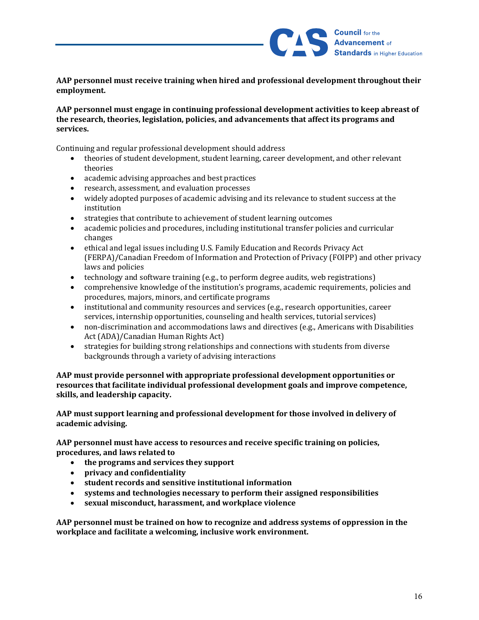

**AAP personnel must receive training when hired and professional development throughout their employment.**

**AAP personnel must engage in continuing professional development activities to keep abreast of the research, theories, legislation, policies, and advancements that affect its programs and services.**

Continuing and regular professional development should address

- theories of student development, student learning, career development, and other relevant theories
- academic advising approaches and best practices
- research, assessment, and evaluation processes
- widely adopted purposes of academic advising and its relevance to student success at the institution
- strategies that contribute to achievement of student learning outcomes
- academic policies and procedures, including institutional transfer policies and curricular changes
- ethical and legal issues including U.S. Family Education and Records Privacy Act (FERPA)/Canadian Freedom of Information and Protection of Privacy (FOIPP) and other privacy laws and policies
- technology and software training (e.g., to perform degree audits, web registrations)
- comprehensive knowledge of the institution's programs, academic requirements, policies and procedures, majors, minors, and certificate programs
- institutional and community resources and services (e.g., research opportunities, career services, internship opportunities, counseling and health services, tutorial services)
- non-discrimination and accommodations laws and directives (e.g., Americans with Disabilities Act (ADA)/Canadian Human Rights Act)
- strategies for building strong relationships and connections with students from diverse backgrounds through a variety of advising interactions

**AAP must provide personnel with appropriate professional development opportunities or resources that facilitate individual professional development goals and improve competence, skills, and leadership capacity.**

**AAP must support learning and professional development for those involved in delivery of academic advising.**

**AAP personnel must have access to resources and receive specific training on policies, procedures, and laws related to**

- **the programs and services they support**
- **privacy and confidentiality**
- **student records and sensitive institutional information**
- **systems and technologies necessary to perform their assigned responsibilities**
- **sexual misconduct, harassment, and workplace violence**

**AAP personnel must be trained on how to recognize and address systems of oppression in the workplace and facilitate a welcoming, inclusive work environment.**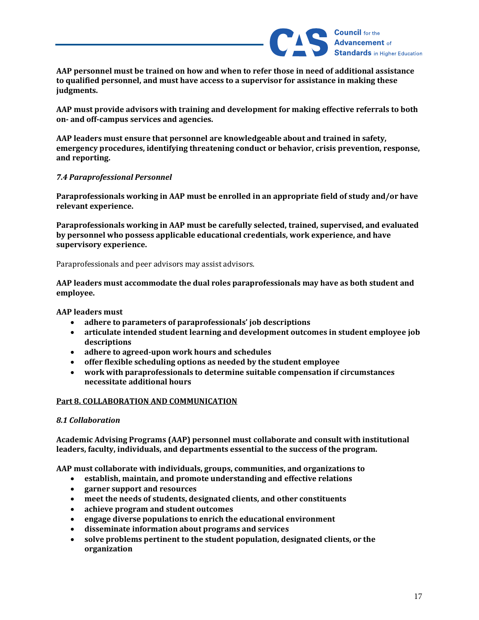

**AAP personnel must be trained on how and when to refer those in need of additional assistance to qualified personnel, and must have access to a supervisor for assistance in making these judgments.**

**AAP must provide advisors with training and development for making effective referrals to both on- and off-campus services and agencies.**

**AAP leaders must ensure that personnel are knowledgeable about and trained in safety, emergency procedures, identifying threatening conduct or behavior, crisis prevention, response, and reporting.**

## *7.4 Paraprofessional Personnel*

**Paraprofessionals working in AAP must be enrolled in an appropriate field of study and/or have relevant experience.**

**Paraprofessionals working in AAP must be carefully selected, trained, supervised, and evaluated by personnel who possess applicable educational credentials, work experience, and have supervisory experience.**

Paraprofessionals and peer advisors may assist advisors.

**AAP leaders must accommodate the dual roles paraprofessionals may have as both student and employee.**

**AAP leaders must**

- **adhere to parameters of paraprofessionals' job descriptions**
- **articulate intended student learning and development outcomes in student employee job descriptions**
- **adhere to agreed-upon work hours and schedules**
- **offer flexible scheduling options as needed by the student employee**
- **work with paraprofessionals to determine suitable compensation if circumstances necessitate additional hours**

#### **Part 8. COLLABORATION AND COMMUNICATION**

#### *8.1 Collaboration*

**Academic Advising Programs (AAP) personnel must collaborate and consult with institutional leaders, faculty, individuals, and departments essential to the success of the program.**

**AAP must collaborate with individuals, groups, communities, and organizations to**

- **establish, maintain, and promote understanding and effective relations**
- **garner support and resources**
- **meet the needs of students, designated clients, and other constituents**
- **achieve program and student outcomes**
- **engage diverse populations to enrich the educational environment**
- **disseminate information about programs and services**
- **solve problems pertinent to the student population, designated clients, or the organization**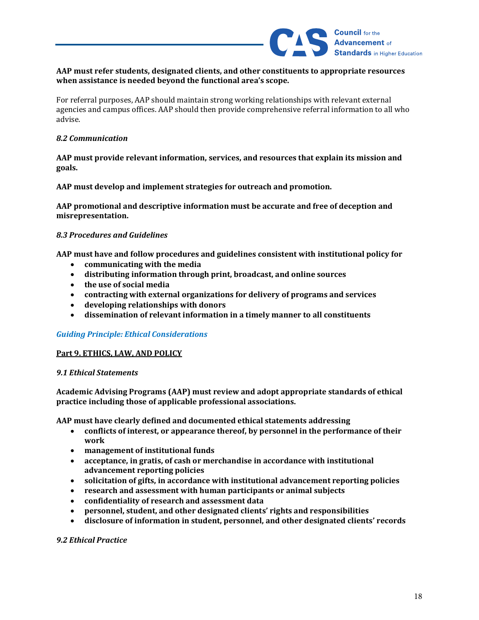

## **AAP must refer students, designated clients, and other constituents to appropriate resources when assistance is needed beyond the functional area's scope.**

For referral purposes, AAP should maintain strong working relationships with relevant external agencies and campus offices. AAP should then provide comprehensive referral information to all who advise.

## *8.2 Communication*

**AAP must provide relevant information, services, and resources that explain its mission and goals.**

**AAP must develop and implement strategies for outreach and promotion.**

**AAP promotional and descriptive information must be accurate and free of deception and misrepresentation.**

## *8.3 Procedures and Guidelines*

**AAP must have and follow procedures and guidelines consistent with institutional policy for**

- **communicating with the media**
- **distributing information through print, broadcast, and online sources**
- **the use of social media**
- **contracting with external organizations for delivery of programs and services**
- **developing relationships with donors**
- **dissemination of relevant information in a timely manner to all constituents**

## *Guiding Principle: Ethical Considerations*

#### **Part 9. ETHICS, LAW, AND POLICY**

#### *9.1 Ethical Statements*

**Academic Advising Programs (AAP) must review and adopt appropriate standards of ethical practice including those of applicable professional associations.**

**AAP must have clearly defined and documented ethical statements addressing**

- **conflicts of interest, or appearance thereof, by personnel in the performance of their work**
- **management of institutional funds**
- **acceptance, in gratis, of cash or merchandise in accordance with institutional advancement reporting policies**
- **solicitation of gifts, in accordance with institutional advancement reporting policies**
- **research and assessment with human participants or animal subjects**
- **confidentiality of research and assessment data**
- **personnel, student, and other designated clients' rights and responsibilities**
- **disclosure of information in student, personnel, and other designated clients' records**

*9.2 Ethical Practice*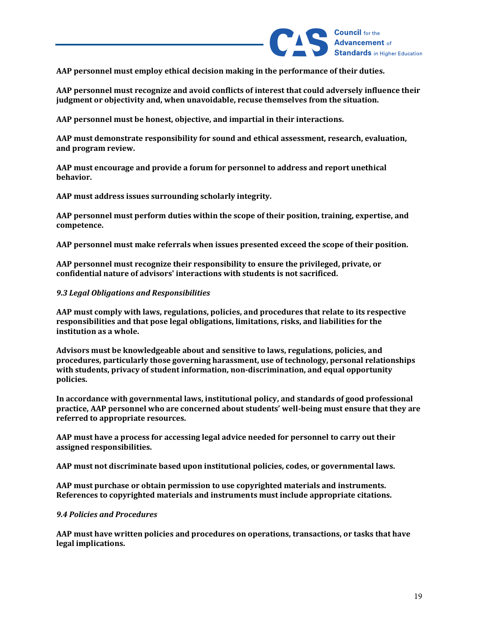

**AAP personnel must employ ethical decision making in the performance of their duties.**

**AAP personnel must recognize and avoid conflicts of interest that could adversely influence their judgment or objectivity and, when unavoidable, recuse themselves from the situation.**

**AAP personnel must be honest, objective, and impartial in their interactions.**

**AAP must demonstrate responsibility for sound and ethical assessment, research, evaluation, and program review.**

**AAP must encourage and provide a forum for personnel to address and report unethical behavior.**

**AAP must address issues surrounding scholarly integrity.**

**AAP personnel must perform duties within the scope of their position, training, expertise, and competence.**

**AAP personnel must make referrals when issues presented exceed the scope of their position.**

**AAP personnel must recognize their responsibility to ensure the privileged, private, or confidential nature of advisors' interactions with students is not sacrificed.**

#### *9.3 Legal Obligations and Responsibilities*

**AAP must comply with laws, regulations, policies, and procedures that relate to its respective responsibilities and that pose legal obligations, limitations, risks, and liabilities for the institution as a whole.**

**Advisors must be knowledgeable about and sensitive to laws, regulations, policies, and procedures, particularly those governing harassment, use of technology, personal relationships with students, privacy of student information, non-discrimination, and equal opportunity policies.**

**In accordance with governmental laws, institutional policy, and standards of good professional practice, AAP personnel who are concerned about students' well-being must ensure that they are referred to appropriate resources.**

**AAP must have a process for accessing legal advice needed for personnel to carry out their assigned responsibilities.**

**AAP must not discriminate based upon institutional policies, codes, or governmental laws.**

**AAP must purchase or obtain permission to use copyrighted materials and instruments. References to copyrighted materials and instruments must include appropriate citations.**

#### *9.4 Policies and Procedures*

**AAP must have written policies and procedures on operations, transactions, or tasks that have legal implications.**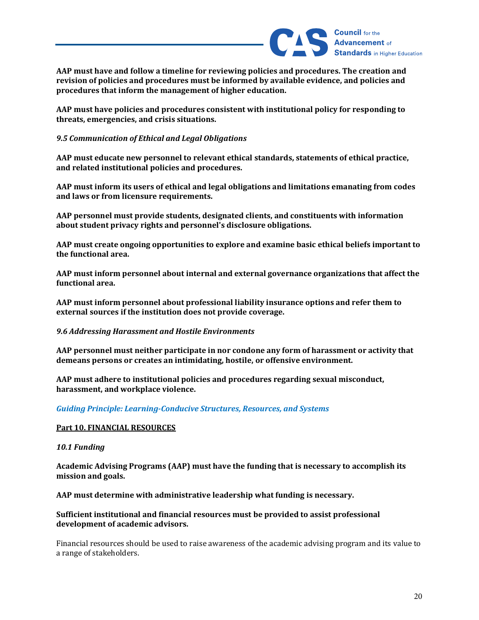

**AAP must have and follow a timeline for reviewing policies and procedures. The creation and revision of policies and procedures must be informed by available evidence, and policies and procedures that inform the management of higher education.**

**AAP must have policies and procedures consistent with institutional policy for responding to threats, emergencies, and crisis situations.**

## *9.5 Communication of Ethical and Legal Obligations*

**AAP must educate new personnel to relevant ethical standards, statements of ethical practice, and related institutional policies and procedures.**

**AAP must inform its users of ethical and legal obligations and limitations emanating from codes and laws or from licensure requirements.**

**AAP personnel must provide students, designated clients, and constituents with information about student privacy rights and personnel's disclosure obligations.**

**AAP must create ongoing opportunities to explore and examine basic ethical beliefs important to the functional area.**

**AAP must inform personnel about internal and external governance organizations that affect the functional area.**

**AAP must inform personnel about professional liability insurance options and refer them to external sources if the institution does not provide coverage.**

#### *9.6 Addressing Harassment and Hostile Environments*

**AAP personnel must neither participate in nor condone any form of harassment or activity that demeans persons or creates an intimidating, hostile, or offensive environment.**

**AAP must adhere to institutional policies and procedures regarding sexual misconduct, harassment, and workplace violence.**

#### *Guiding Principle: Learning-Conducive Structures, Resources, and Systems*

#### **Part 10. FINANCIAL RESOURCES**

#### *10.1 Funding*

**Academic Advising Programs (AAP) must have the funding that is necessary to accomplish its mission and goals.**

**AAP must determine with administrative leadership what funding is necessary.**

#### **Sufficient institutional and financial resources must be provided to assist professional development of academic advisors.**

Financial resources should be used to raise awareness of the academic advising program and its value to a range of stakeholders.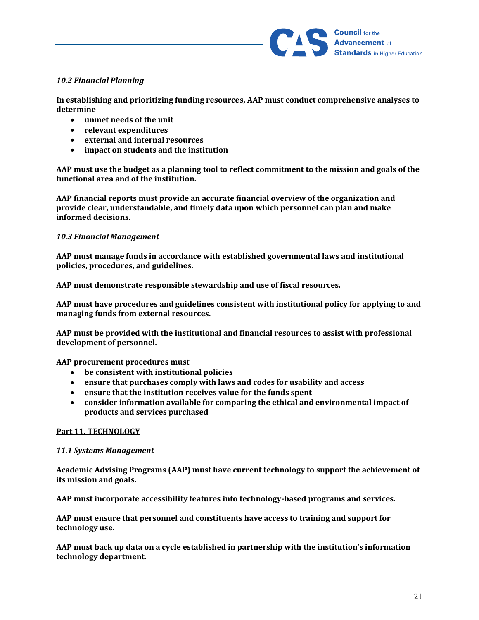

## *10.2 Financial Planning*

**In establishing and prioritizing funding resources, AAP must conduct comprehensive analyses to determine**

- **unmet needs of the unit**
- **relevant expenditures**
- **external and internal resources**
- **impact on students and the institution**

**AAP must use the budget as a planning tool to reflect commitment to the mission and goals of the functional area and of the institution.**

**AAP financial reports must provide an accurate financial overview of the organization and provide clear, understandable, and timely data upon which personnel can plan and make informed decisions.**

#### *10.3 Financial Management*

**AAP must manage funds in accordance with established governmental laws and institutional policies, procedures, and guidelines.**

**AAP must demonstrate responsible stewardship and use of fiscal resources.**

**AAP must have procedures and guidelines consistent with institutional policy for applying to and managing funds from external resources.**

**AAP must be provided with the institutional and financial resources to assist with professional development of personnel.**

**AAP procurement procedures must**

- **be consistent with institutional policies**
- **ensure that purchases comply with laws and codes for usability and access**
- **ensure that the institution receives value for the funds spent**
- **consider information available for comparing the ethical and environmental impact of products and services purchased**

#### **Part 11. TECHNOLOGY**

#### *11.1 Systems Management*

**Academic Advising Programs (AAP) must have current technology to support the achievement of its mission and goals.**

**AAP must incorporate accessibility features into technology-based programs and services.**

**AAP must ensure that personnel and constituents have access to training and support for technology use.**

**AAP must back up data on a cycle established in partnership with the institution's information technology department.**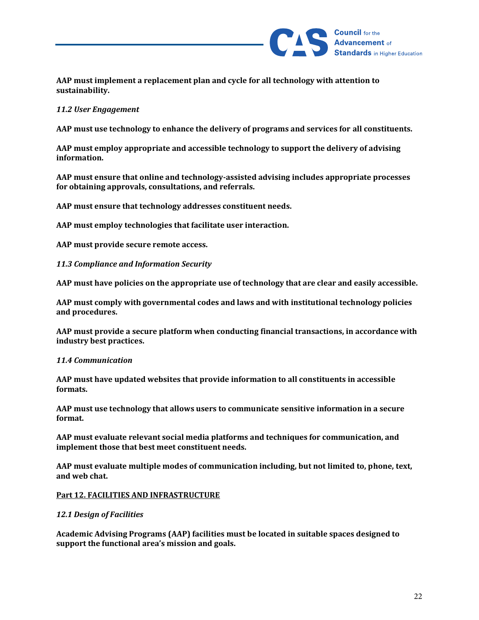

**AAP must implement a replacement plan and cycle for all technology with attention to sustainability.**

## *11.2 User Engagement*

**AAP must use technology to enhance the delivery of programs and services for all constituents.**

**AAP must employ appropriate and accessible technology to support the delivery of advising information.**

**AAP must ensure that online and technology-assisted advising includes appropriate processes for obtaining approvals, consultations, and referrals.**

**AAP must ensure that technology addresses constituent needs.**

**AAP must employ technologies that facilitate user interaction.**

**AAP must provide secure remote access.**

*11.3 Compliance and Information Security*

**AAP must have policies on the appropriate use of technology that are clear and easily accessible.**

**AAP must comply with governmental codes and laws and with institutional technology policies and procedures.**

**AAP must provide a secure platform when conducting financial transactions, in accordance with industry best practices.** 

#### *11.4 Communication*

**AAP must have updated websites that provide information to all constituents in accessible formats.**

**AAP must use technology that allows users to communicate sensitive information in a secure format.**

**AAP must evaluate relevant social media platforms and techniques for communication, and implement those that best meet constituent needs.**

**AAP must evaluate multiple modes of communication including, but not limited to, phone, text, and web chat.**

#### **Part 12. FACILITIES AND INFRASTRUCTURE**

#### *12.1 Design of Facilities*

**Academic Advising Programs (AAP) facilities must be located in suitable spaces designed to support the functional area's mission and goals.**